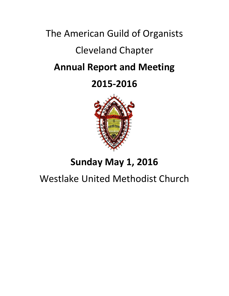# The American Guild of Organists Cleveland Chapter **Annual Report and Meeting**

# **2015-2016**



# **Sunday May 1, 2016**

# Westlake United Methodist Church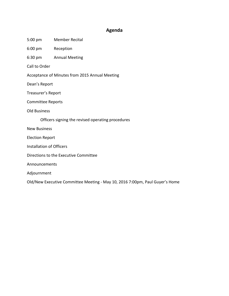## **Agenda**

- 5:00 pm Member Recital
- 6:00 pm Reception
- 6:30 pm Annual Meeting

Call to Order

- Acceptance of Minutes from 2015 Annual Meeting
- Dean's Report
- Treasurer's Report
- Committee Reports
- Old Business
	- Officers signing the revised operating procedures
- New Business
- Election Report
- Installation of Officers
- Directions to the Executive Committee
- Announcements
- Adjournment

Old/New Executive Committee Meeting - May 10, 2016 7:00pm, Paul Guyer's Home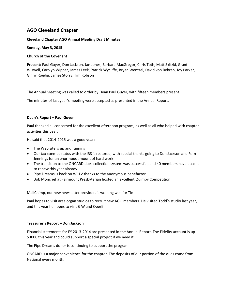## **AGO Cleveland Chapter**

#### **Cleveland Chapter AGO Annual Meeting Draft Minutes**

#### **Sunday, May 3, 2015**

#### **Church of the Covenant**

**Present:** Paul Guyer, Don Jackson, Jan Jones, Barbara MacGregor, Chris Toth, Matt Skitzki, Grant Wiswell, Carolyn Wipper, James Leek, Patrick Wycliffe, Bryan Wentzel, David von Behren, Joy Parker, Ginny Roedig, James Storry, Tim Robson

The Annual Meeting was called to order by Dean Paul Guyer, with fifteen members present.

The minutes of last year's meeting were accepted as presented in the Annual Report.

#### **Dean's Report – Paul Guyer**

Paul thanked all concerned for the excellent afternoon program, as well as all who helped with chapter activities this year.

He said that 2014-2015 was a good year:

- The Web site is up and running
- Our tax-exempt status with the IRS is restored, with special thanks going to Don Jackson and Fern Jennings for an enormous amount of hard work
- The transition to the ONCARD dues collection system was successful, and 40 members have used it to renew this year already
- Pipe Dreams is back on WCLV thanks to the anonymous benefactor
- Bob Moncrief at Fairmount Presbyterian hosted an excellent Quimby Competition

MailChimp, our new newsletter provider, is working well for Tim.

Paul hopes to visit area organ studios to recruit new AGO members. He visited Todd's studio last year, and this year he hopes to visit B-W and Oberlin.

#### **Treasurer's Report – Don Jackson**

Financial statements for FY 2013-2014 are presented in the Annual Report. The Fidelity account is up \$3000 this year and could support a special project if we need it.

The Pipe Dreams donor is continuing to support the program.

ONCARD is a major convenience for the chapter. The deposits of our portion of the dues come from National every month.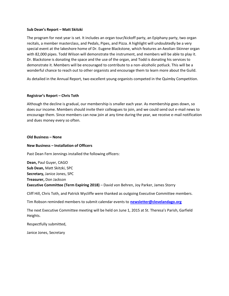#### **Sub Dean's Report – Matt Skitzki**

The program for next year is set. It includes an organ tour/kickoff party, an Epiphany party, two organ recitals, a member masterclass, and Pedals, Pipes, and Pizza. A highlight will undoubtedly be a very special event at the lakeshore home of Dr. Eugene Blackstone, which features an Aeolian-Skinner organ with 82,000 pipes. Todd Wilson will demonstrate the instrument, and members will be able to play it. Dr. Blackstone is donating the space and the use of the organ, and Todd is donating his services to demonstrate it. Members will be encouraged to contribute to a non-alcoholic potluck. This will be a wonderful chance to reach out to other organists and encourage them to learn more about the Guild.

As detailed in the Annual Report, two excellent young organists competed in the Quimby Competition.

#### **Registrar's Report – Chris Toth**

Although the decline is gradual, our membership is smaller each year. As membership goes down, so does our income. Members should invite their colleagues to join, and we could send out e-mail news to encourage them. Since members can now join at any time during the year, we receive e-mail notification and dues money every so often.

#### **Old Business – None**

#### **New Business – Installation of Officers**

Past Dean Fern Jennings installed the following officers:

**Dean,** Paul Guyer, CAGO **Sub Dean,** Matt Skitzki, SPC **Secretary,** Janice Jones, SPC **Treasurer,** Don Jackson **Executive Committee (Term Expiring 2018)** – David von Behren, Joy Parker, James Storry

Cliff Hill, Chris Toth, and Patrick Wycliffe were thanked as outgoing Executive Committee members.

Tim Robson reminded members to submit calendar events to **[newsletter@clevelandago.org](mailto:newsletter@clevelandago.org)**

The next Executive Committee meeting will be held on June 1, 2015 at St. Theresa's Parish, Garfield Heights.

Respectfully submitted,

Janice Jones, Secretary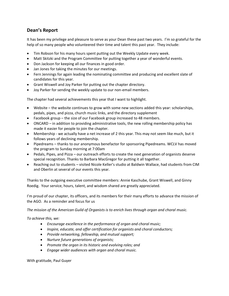# **Dean's Report**

It has been my privilege and pleasure to serve as your Dean these past two years. I'm so grateful for the help of so many people who volunteered their time and talent this past year. They include:

- Tim Robson for his many hours spent putting out the Weekly Update every week.
- Matt Skitzki and the Program Committee for putting together a year of wonderful events.
- Don Jackson for keeping all our finances in good order.
- Jan Jones for taking the minutes for our meetings.
- Fern Jennings for again leading the nominating committee and producing and excellent slate of candidates for this year.
- Grant Wiswell and Joy Parker for putting out the chapter directory.
- Joy Parker for sending the weekly update to our non-email members.

The chapter had several achievements this year that I want to highlight.

- Website the website continues to grow with some new sections added this year: scholarships, pedals, pipes, and pizza, church music links, and the directory supplement
- Facebook group the size of our Facebook group increased to 48 members.
- ONCARD in addition to providing administrative tools, the new rolling membership policy has made it easier for people to join the chapter.
- Membership we actually have a net increase of 2 this year. This may not seem like much, but it follows years of declining membership.
- Pipedreams thanks to our anonymous benefactor for sponsoring Pipedreams. WCLV has moved the program to Sunday morning at 7:00am
- Pedals, Pipes, and Pizza our outreach efforts to create the next generation of organists deserve special recognition. Thanks to Barbara MacGregor for putting it all together.
- Reaching out to students visited Nicole Keller's studio at Baldwin Wallace, had students from CIM and Oberlin at several of our events this year.

Thanks to the outgoing executive committee members: Annie Kaschube, Grant Wiswell, and Ginny Roedig. Your service, hours, talent, and wisdom shared are greatly appreciated.

I'm proud of our chapter, its officers, and its members for their many efforts to advance the mission of the AGO. As a reminder and focus for us

*The mission of the American Guild of Organists is to enrich lives through organ and choral music.*

*To achieve this, we:*

- *Encourage excellence in the performance of organ and choral music;*
- *Inspire, educate, and offer certification for organists and choral conductors;*
- *Provide networking, fellowship, and mutual support;*
- *Nurture future generations of organists;*
- *Promote the organ in its historic and evolving roles; and*
- *Engage wider audiences with organ and choral music.*

With gratitude, Paul Guyer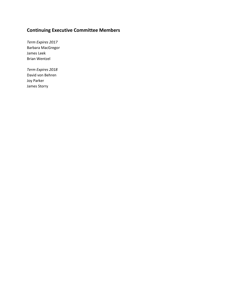# **Continuing Executive Committee Members**

*Term Expires 2017* Barbara MacGregor James Leek Brian Wentzel

*Term Expires 2018* David von Behren Joy Parker James Storry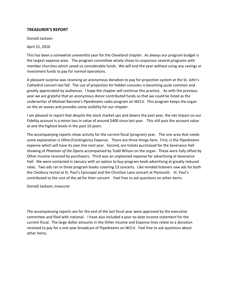#### **TREASURER'S REPORT**

Donald Jackson

April 22, 2016

This has been a somewhat uneventful year for the Cleveland chapter. As always our program budget is the largest expense area. The program committee wisely chose to cosponsor several programs with member churches which saved us considerable funds. We will end the year without using any savings or investment funds to pay for normal operations.

A pleasant surprise was receiving an anonymous donation to pay for projection system at the St. John's Cathedral concert last fall. The use of projection for hidden consoles is becoming quite common and greatly appreciated by audiences. I hope the chapter will continue this practice. As with the previous year we are grateful that an anonymous donor contributed funds so that we could be listed as the underwriter of Michael Barrone's *Pipedreams* radio program on WCLV. This program keeps the organ on the air waves and provides some visibility for our chapter.

I am pleased to report that despite the stock market ups and downs the past year, the net impact on our Fidelity account is a minor loss in value of around \$400 since last year. This still puts the account value at one the highest levels in the past 10 years.

The accompanying reports show activity for the current fiscal (program) year. The one area that needs some explanation is Other/Contingency Expense. There are three things here. First, is the *Pipedreams* expense which will have its own line next year. Second, are tickets purchased for the Severance Hall showing of *Phantom of the Opera* accompanied by Todd Wilson on the organ. These were fully offset by Other Income received by purchasers. Third was an unplanned expense for advertising at Severance Hall. We were contacted in January with an option to buy program book advertising at greatly reduced rates. Two ads ran in three program books covering 13 concerts. Like minded listeners saw ads for both the Cleobury recital at St. Paul's Episcopal and the Christian Lane concert at Plymouth. St. Paul's contributed to the cost of the ad for their concert. Feel free to ask questions on other items.

Donald Jackson, treasurer

The accompanying reports are for the end of the last fiscal year were approved by the executive committee and filed with national. I have also included a year-to-date income statement for the current fiscal. The large dollar amounts in the Other Income and Expense lines relate to a donation received to pay for a one year broadcast of Pipedreams on WCLV. Feel free to ask questions about other items.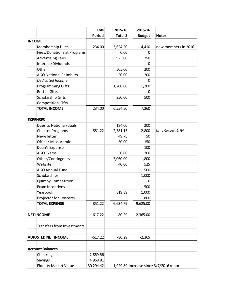|                                   | <b>This</b>   | 2015-16  | 2015-16                                 |                     |  |  |
|-----------------------------------|---------------|----------|-----------------------------------------|---------------------|--|--|
|                                   | <b>Period</b> | Total \$ | <b>Budget</b>                           | <b>Notes</b>        |  |  |
| <b>INCOME</b>                     |               |          |                                         |                     |  |  |
| Membership Dues                   | 234.00        | 3,624.50 | 4,410                                   | new members in 2016 |  |  |
| Fees/Donations at Programs        |               | 0.00     | 0                                       |                     |  |  |
| <b>Advertising Fees</b>           |               | 925.00   | 750                                     |                     |  |  |
| Interest/Dividends                |               |          | 0                                       |                     |  |  |
| Other                             |               | 505.00   | 200                                     |                     |  |  |
| <b>AGO National Reimburs.</b>     |               | 50.00    | 200                                     |                     |  |  |
| Dedicated Income                  |               |          | 0                                       |                     |  |  |
| <b>Programming Gifts</b>          |               | 1,200.00 | 1,200                                   |                     |  |  |
| <b>Recital Gifts</b>              |               |          | 0                                       |                     |  |  |
| Scholarship Gifts                 |               | 250.00   | 500                                     |                     |  |  |
| <b>Competition Gifts</b>          |               |          |                                         |                     |  |  |
| <b>TOTAL INCOME</b>               | 234.00        | 6,554.50 | 7,260                                   |                     |  |  |
|                                   |               |          |                                         |                     |  |  |
| <b>EXPENSES</b>                   |               |          |                                         |                     |  |  |
| Dues to National/duals            |               | 184.00   | 200                                     |                     |  |  |
| <b>Chapter Programs</b>           | 851.22        | 2,381.15 | 2,800                                   | Lane Concert & PPP  |  |  |
| Newsletter                        |               | 49.75    | 50                                      |                     |  |  |
| Office/ Misc. Admin.              |               | 50.00    | 150                                     |                     |  |  |
| Dean's Expense                    |               |          | 100                                     |                     |  |  |
| <b>AGO Exams</b>                  |               | 50.00    | 200                                     |                     |  |  |
| Other/Contingency                 |               | 3,060.00 | 1,800                                   |                     |  |  |
| Website                           |               | 40.00    | 525                                     |                     |  |  |
| <b>AGO Annual Fund</b>            |               |          | 500                                     |                     |  |  |
| Scholarships                      |               |          | 1,000                                   |                     |  |  |
| <b>Quimby Competition</b>         |               |          | 0                                       |                     |  |  |
| Exam Incentives                   |               |          | 500                                     |                     |  |  |
| Yearbook                          |               | 819.89   | 1,000                                   |                     |  |  |
| <b>Projector for Concerts</b>     |               |          | 800                                     |                     |  |  |
| <b>TOTAL EXPENSE</b>              | 851.22        | 6,634.79 | 9,625.00                                |                     |  |  |
|                                   |               |          |                                         |                     |  |  |
| <b>NET INCOME</b>                 | $-617.22$     | $-80.29$ | $-2,365.00$                             |                     |  |  |
|                                   |               |          |                                         |                     |  |  |
| <b>Transfers from Investments</b> |               |          |                                         |                     |  |  |
| <b>ADJUSTED NET INCOME</b>        | $-617.22$     | $-80.29$ | $-2,365$                                |                     |  |  |
|                                   |               |          |                                         |                     |  |  |
| <b>Account Balances</b>           |               |          |                                         |                     |  |  |
| Checking                          | 2,859.56      |          |                                         |                     |  |  |
| Savings                           | 4,958.91      |          |                                         |                     |  |  |
| <b>Fidelity Market Value</b>      | 30,294.42     |          | 1,949.89 increase since 3/7/2016 report |                     |  |  |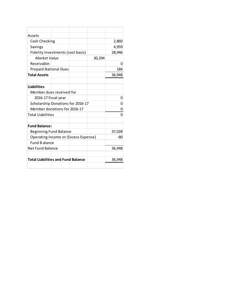| Assets                                    |  |  |        |        |
|-------------------------------------------|--|--|--------|--------|
| Cash Checking                             |  |  |        | 2,860  |
| Savings                                   |  |  |        | 4,959  |
| Fidelity Investments (cost basis)         |  |  |        | 28,946 |
| Market Value                              |  |  | 30,294 |        |
| Receivable:                               |  |  |        | 0      |
| <b>Prepaid National Dues</b>              |  |  |        | 184    |
| <b>Total Assets</b>                       |  |  |        | 36,948 |
|                                           |  |  |        |        |
| <b>Liabilities</b>                        |  |  |        |        |
| Member dues received for                  |  |  |        |        |
| 2016-17 fiscal year                       |  |  | 0      |        |
| Scholarship Donations for 2016-17         |  |  |        | 0      |
| Member donations for 2016-17              |  |  | 0      |        |
| <b>Total Liabilities</b>                  |  |  |        | O      |
|                                           |  |  |        |        |
| <b>Fund Balance:</b>                      |  |  |        |        |
| <b>Beginning Fund Balance</b>             |  |  | 37,028 |        |
| Operating Income or (Excess Expense)      |  |  |        | -80    |
| <b>Fund Balance</b>                       |  |  |        |        |
| Net Fund Balance                          |  |  |        | 36,948 |
|                                           |  |  |        |        |
| <b>Total Liabilities and Fund Balance</b> |  |  | 36,948 |        |
|                                           |  |  |        |        |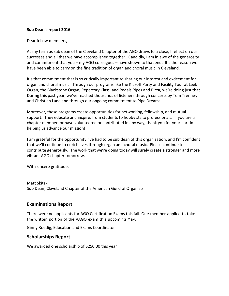#### **Sub Dean's report 2016**

Dear fellow members,

As my term as sub dean of the Cleveland Chapter of the AGO draws to a close, I reflect on our successes and all that we have accomplished together. Candidly, I am in awe of the generosity and commitment that you – my AGO colleagues – have shown to that end. It's the reason we have been able to carry on the fine tradition of organ and choral music in Cleveland.

It's that commitment that is so critically important to sharing our interest and excitement for organ and choral music. Through our programs like the Kickoff Party and Facility Tour at Leek Organ, the Blackstone Organ, Repertory Class, and Pedals Pipes and Pizza, we're doing just that. During this past year, we've reached thousands of listeners through concerts by Tom Trenney and Christian Lane and through our ongoing commitment to Pipe Dreams.

Moreover, these programs create opportunities for networking, fellowship, and mutual support. They educate and inspire, from students to hobbyists to professionals. If you are a chapter member, or have volunteered or contributed in any way, thank you for your part in helping us advance our mission!

I am grateful for the opportunity I've had to be sub dean of this organization, and I'm confident that we'll continue to enrich lives through organ and choral music. Please continue to contribute generously. The work that we're doing today will surely create a stronger and more vibrant AGO chapter tomorrow.

With sincere gratitude,

Matt Skitzki Sub Dean, Cleveland Chapter of the American Guild of Organists

### **Examinations Report**

There were no applicants for AGO Certification Exams this fall. One member applied to take the written portion of the AAGO exam this upcoming May.

Ginny Roedig, Education and Exams Coordinator

### **Scholarships Report**

We awarded one scholarship of \$250.00 this year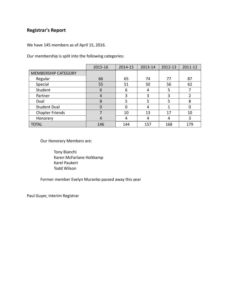# **Registrar's Report**

We have 145 members as of April 15, 2016.

Our membership is split into the following categories:

|                            | 2015-16  | 2014-15 | 2013-14 | 2012-13 | 2011-12 |
|----------------------------|----------|---------|---------|---------|---------|
| <b>MEMBERSHIP CATEGORY</b> |          |         |         |         |         |
| Regular                    | 66       | 65      | 74      | 77      | 87      |
| Special                    | 55       | 51      | 50      | 56      | 62      |
| Student                    | 6        | 6       | 4       | .5      |         |
| Partner                    | 4        | 3       | 3       | 3       | 2       |
| Dual                       | 8        | 5       | 5       | 5       | 8       |
| <b>Student Dual</b>        | $\Omega$ | 0       | 4       | 1       |         |
| <b>Chapter Friends</b>     |          | 10      | 13      | 17      | 10      |
| Honorary                   | 4        | 4       | 4       | 4       | 3       |
| <b>TOTAL</b>               | 146      | 144     | 157     | 168     | 179     |

Our Honorary Members are:

Tony Bianchi Karen McFarlane Holtkamp Karel Paukert Todd Wilson

Former member Evelyn Muranko passed away this year

Paul Guyer, Interim Registrar